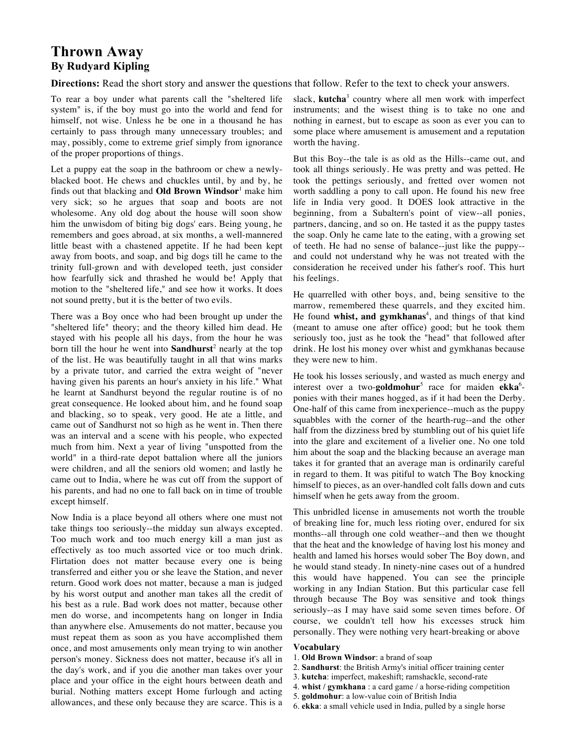# **Thrown Away By Rudyard Kipling**

**Directions:** Read the short story and answer the questions that follow. Refer to the text to check your answers.

To rear a boy under what parents call the "sheltered life system" is, if the boy must go into the world and fend for himself, not wise. Unless he be one in a thousand he has certainly to pass through many unnecessary troubles; and may, possibly, come to extreme grief simply from ignorance of the proper proportions of things.

Let a puppy eat the soap in the bathroom or chew a newlyblacked boot. He chews and chuckles until, by and by, he finds out that blacking and **Old Brown Windsor**<sup>1</sup> make him very sick; so he argues that soap and boots are not wholesome. Any old dog about the house will soon show him the unwisdom of biting big dogs' ears. Being young, he remembers and goes abroad, at six months, a well-mannered little beast with a chastened appetite. If he had been kept away from boots, and soap, and big dogs till he came to the trinity full-grown and with developed teeth, just consider how fearfully sick and thrashed he would be! Apply that motion to the "sheltered life," and see how it works. It does not sound pretty, but it is the better of two evils.

There was a Boy once who had been brought up under the "sheltered life" theory; and the theory killed him dead. He stayed with his people all his days, from the hour he was born till the hour he went into **Sandhurst**<sup>2</sup> nearly at the top of the list. He was beautifully taught in all that wins marks by a private tutor, and carried the extra weight of "never having given his parents an hour's anxiety in his life." What he learnt at Sandhurst beyond the regular routine is of no great consequence. He looked about him, and he found soap and blacking, so to speak, very good. He ate a little, and came out of Sandhurst not so high as he went in. Then there was an interval and a scene with his people, who expected much from him. Next a year of living "unspotted from the world" in a third-rate depot battalion where all the juniors were children, and all the seniors old women; and lastly he came out to India, where he was cut off from the support of his parents, and had no one to fall back on in time of trouble except himself.

Now India is a place beyond all others where one must not take things too seriously--the midday sun always excepted. Too much work and too much energy kill a man just as effectively as too much assorted vice or too much drink. Flirtation does not matter because every one is being transferred and either you or she leave the Station, and never return. Good work does not matter, because a man is judged by his worst output and another man takes all the credit of his best as a rule. Bad work does not matter, because other men do worse, and incompetents hang on longer in India than anywhere else. Amusements do not matter, because you must repeat them as soon as you have accomplished them once, and most amusements only mean trying to win another person's money. Sickness does not matter, because it's all in the day's work, and if you die another man takes over your place and your office in the eight hours between death and burial. Nothing matters except Home furlough and acting allowances, and these only because they are scarce. This is a

slack, **kutcha**<sup>3</sup> country where all men work with imperfect instruments; and the wisest thing is to take no one and nothing in earnest, but to escape as soon as ever you can to some place where amusement is amusement and a reputation worth the having.

But this Boy--the tale is as old as the Hills--came out, and took all things seriously. He was pretty and was petted. He took the pettings seriously, and fretted over women not worth saddling a pony to call upon. He found his new free life in India very good. It DOES look attractive in the beginning, from a Subaltern's point of view--all ponies, partners, dancing, and so on. He tasted it as the puppy tastes the soap. Only he came late to the eating, with a growing set of teeth. He had no sense of balance--just like the puppy- and could not understand why he was not treated with the consideration he received under his father's roof. This hurt his feelings.

He quarrelled with other boys, and, being sensitive to the marrow, remembered these quarrels, and they excited him. He found whist, and gymkhanas<sup>4</sup>, and things of that kind (meant to amuse one after office) good; but he took them seriously too, just as he took the "head" that followed after drink. He lost his money over whist and gymkhanas because they were new to him.

He took his losses seriously, and wasted as much energy and interest over a two-**goldmohur**<sup>5</sup> race for maiden **ekka**<sup>6</sup>ponies with their manes hogged, as if it had been the Derby. One-half of this came from inexperience--much as the puppy squabbles with the corner of the hearth-rug--and the other half from the dizziness bred by stumbling out of his quiet life into the glare and excitement of a livelier one. No one told him about the soap and the blacking because an average man takes it for granted that an average man is ordinarily careful in regard to them. It was pitiful to watch The Boy knocking himself to pieces, as an over-handled colt falls down and cuts himself when he gets away from the groom.

This unbridled license in amusements not worth the trouble of breaking line for, much less rioting over, endured for six months--all through one cold weather--and then we thought that the heat and the knowledge of having lost his money and health and lamed his horses would sober The Boy down, and he would stand steady. In ninety-nine cases out of a hundred this would have happened. You can see the principle working in any Indian Station. But this particular case fell through because The Boy was sensitive and took things seriously--as I may have said some seven times before. Of course, we couldn't tell how his excesses struck him personally. They were nothing very heart-breaking or above

### **Vocabulary**

- 1. **Old Brown Windsor**: a brand of soap
- 2. **Sandhurst**: the British Army's initial officer training center
- 3. **kutcha**: imperfect, makeshift; ramshackle, second-rate
- 4. **whist / gymkhana** : a card game / a horse-riding competition
- 5. **goldmohur**: a low-value coin of British India
- 6. **ekka**: a small vehicle used in India, pulled by a single horse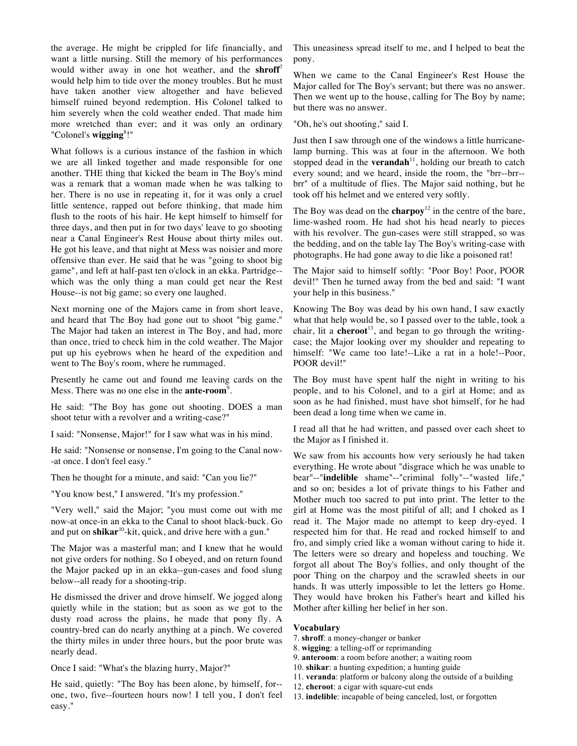the average. He might be crippled for life financially, and want a little nursing. Still the memory of his performances would wither away in one hot weather, and the **shroff**<sup>7</sup> would help him to tide over the money troubles. But he must have taken another view altogether and have believed himself ruined beyond redemption. His Colonel talked to him severely when the cold weather ended. That made him more wretched than ever; and it was only an ordinary "Colonel's **wigging**<sup>8</sup> !"

What follows is a curious instance of the fashion in which we are all linked together and made responsible for one another. THE thing that kicked the beam in The Boy's mind was a remark that a woman made when he was talking to her. There is no use in repeating it, for it was only a cruel little sentence, rapped out before thinking, that made him flush to the roots of his hair. He kept himself to himself for three days, and then put in for two days' leave to go shooting near a Canal Engineer's Rest House about thirty miles out. He got his leave, and that night at Mess was noisier and more offensive than ever. He said that he was "going to shoot big game", and left at half-past ten o'clock in an ekka. Partridge- which was the only thing a man could get near the Rest House--is not big game; so every one laughed.

Next morning one of the Majors came in from short leave, and heard that The Boy had gone out to shoot "big game." The Major had taken an interest in The Boy, and had, more than once, tried to check him in the cold weather. The Major put up his eyebrows when he heard of the expedition and went to The Boy's room, where he rummaged.

Presently he came out and found me leaving cards on the Mess. There was no one else in the **ante-room**<sup>9</sup>.

He said: "The Boy has gone out shooting. DOES a man shoot tetur with a revolver and a writing-case?"

I said: "Nonsense, Major!" for I saw what was in his mind.

He said: "Nonsense or nonsense, I'm going to the Canal now- -at once. I don't feel easy."

Then he thought for a minute, and said: "Can you lie?"

"You know best," I answered. "It's my profession."

"Very well," said the Major; "you must come out with me now-at once-in an ekka to the Canal to shoot black-buck. Go and put on **shikar**<sup>10</sup>-kit, quick, and drive here with a gun."

The Major was a masterful man; and I knew that he would not give orders for nothing. So I obeyed, and on return found the Major packed up in an ekka--gun-cases and food slung below--all ready for a shooting-trip.

He dismissed the driver and drove himself. We jogged along quietly while in the station; but as soon as we got to the dusty road across the plains, he made that pony fly. A country-bred can do nearly anything at a pinch. We covered the thirty miles in under three hours, but the poor brute was nearly dead.

Once I said: "What's the blazing hurry, Major?"

He said, quietly: "The Boy has been alone, by himself, for- one, two, five--fourteen hours now! I tell you, I don't feel easy."

This uneasiness spread itself to me, and I helped to beat the pony.

When we came to the Canal Engineer's Rest House the Major called for The Boy's servant; but there was no answer. Then we went up to the house, calling for The Boy by name; but there was no answer.

"Oh, he's out shooting," said I.

Just then I saw through one of the windows a little hurricanelamp burning. This was at four in the afternoon. We both stopped dead in the **verandah**<sup>11</sup>, holding our breath to catch every sound; and we heard, inside the room, the "brr--brr- brr" of a multitude of flies. The Major said nothing, but he took off his helmet and we entered very softly.

The Boy was dead on the **charpoy**<sup>12</sup> in the centre of the bare, lime-washed room. He had shot his head nearly to pieces with his revolver. The gun-cases were still strapped, so was the bedding, and on the table lay The Boy's writing-case with photographs. He had gone away to die like a poisoned rat!

The Major said to himself softly: "Poor Boy! Poor, POOR devil!" Then he turned away from the bed and said: "I want your help in this business."

Knowing The Boy was dead by his own hand, I saw exactly what that help would be, so I passed over to the table, took a chair, lit a **cheroot**<sup>13</sup>, and began to go through the writingcase; the Major looking over my shoulder and repeating to himself: "We came too late!--Like a rat in a hole!--Poor, POOR devil!"

The Boy must have spent half the night in writing to his people, and to his Colonel, and to a girl at Home; and as soon as he had finished, must have shot himself, for he had been dead a long time when we came in.

I read all that he had written, and passed over each sheet to the Major as I finished it.

We saw from his accounts how very seriously he had taken everything. He wrote about "disgrace which he was unable to bear"--"**indelible** shame"--"criminal folly"--"wasted life," and so on; besides a lot of private things to his Father and Mother much too sacred to put into print. The letter to the girl at Home was the most pitiful of all; and I choked as I read it. The Major made no attempt to keep dry-eyed. I respected him for that. He read and rocked himself to and fro, and simply cried like a woman without caring to hide it. The letters were so dreary and hopeless and touching. We forgot all about The Boy's follies, and only thought of the poor Thing on the charpoy and the scrawled sheets in our hands. It was utterly impossible to let the letters go Home. They would have broken his Father's heart and killed his Mother after killing her belief in her son.

#### **Vocabulary**

- 7. **shroff**: a money-changer or banker
- 8. **wigging**: a telling-off or reprimanding
- 9. **anteroom**: a room before another; a waiting room
- 10. **shikar**: a hunting expedition; a hunting guide
- 11. **veranda**: platform or balcony along the outside of a building
- 12. **cheroot**: a cigar with square-cut ends
- 13. **indelible**: incapable of being canceled, lost, or forgotten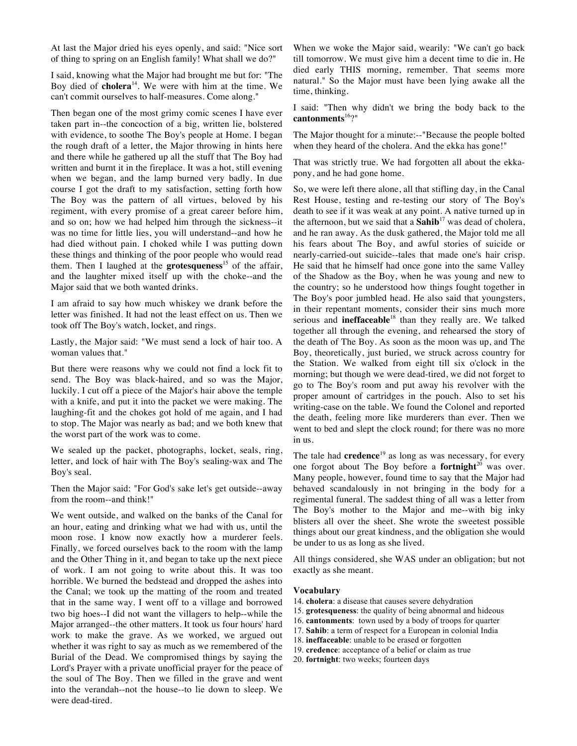At last the Major dried his eyes openly, and said: "Nice sort of thing to spring on an English family! What shall we do?"

I said, knowing what the Major had brought me but for: "The Boy died of **cholera**<sup>14</sup> . We were with him at the time. We can't commit ourselves to half-measures. Come along."

Then began one of the most grimy comic scenes I have ever taken part in--the concoction of a big, written lie, bolstered with evidence, to soothe The Boy's people at Home. I began the rough draft of a letter, the Major throwing in hints here and there while he gathered up all the stuff that The Boy had written and burnt it in the fireplace. It was a hot, still evening when we began, and the lamp burned very badly. In due course I got the draft to my satisfaction, setting forth how The Boy was the pattern of all virtues, beloved by his regiment, with every promise of a great career before him, and so on; how we had helped him through the sickness--it was no time for little lies, you will understand--and how he had died without pain. I choked while I was putting down these things and thinking of the poor people who would read them. Then I laughed at the **grotesqueness**<sup>15</sup> of the affair, and the laughter mixed itself up with the choke--and the Major said that we both wanted drinks.

I am afraid to say how much whiskey we drank before the letter was finished. It had not the least effect on us. Then we took off The Boy's watch, locket, and rings.

Lastly, the Major said: "We must send a lock of hair too. A woman values that."

But there were reasons why we could not find a lock fit to send. The Boy was black-haired, and so was the Major, luckily. I cut off a piece of the Major's hair above the temple with a knife, and put it into the packet we were making. The laughing-fit and the chokes got hold of me again, and I had to stop. The Major was nearly as bad; and we both knew that the worst part of the work was to come.

We sealed up the packet, photographs, locket, seals, ring, letter, and lock of hair with The Boy's sealing-wax and The Boy's seal.

Then the Major said: "For God's sake let's get outside--away from the room--and think!"

We went outside, and walked on the banks of the Canal for an hour, eating and drinking what we had with us, until the moon rose. I know now exactly how a murderer feels. Finally, we forced ourselves back to the room with the lamp and the Other Thing in it, and began to take up the next piece of work. I am not going to write about this. It was too horrible. We burned the bedstead and dropped the ashes into the Canal; we took up the matting of the room and treated that in the same way. I went off to a village and borrowed two big hoes--I did not want the villagers to help--while the Major arranged--the other matters. It took us four hours' hard work to make the grave. As we worked, we argued out whether it was right to say as much as we remembered of the Burial of the Dead. We compromised things by saying the Lord's Prayer with a private unofficial prayer for the peace of the soul of The Boy. Then we filled in the grave and went into the verandah--not the house--to lie down to sleep. We were dead-tired.

When we woke the Major said, wearily: "We can't go back till tomorrow. We must give him a decent time to die in. He died early THIS morning, remember. That seems more natural." So the Major must have been lying awake all the time, thinking.

I said: "Then why didn't we bring the body back to the cantonments<sup>16</sup>?"

The Major thought for a minute:--"Because the people bolted when they heard of the cholera. And the ekka has gone!"

That was strictly true. We had forgotten all about the ekkapony, and he had gone home.

So, we were left there alone, all that stifling day, in the Canal Rest House, testing and re-testing our story of The Boy's death to see if it was weak at any point. A native turned up in the afternoon, but we said that a  $\textbf{Sahib}^{17}$  was dead of cholera, and he ran away. As the dusk gathered, the Major told me all his fears about The Boy, and awful stories of suicide or nearly-carried-out suicide--tales that made one's hair crisp. He said that he himself had once gone into the same Valley of the Shadow as the Boy, when he was young and new to the country; so he understood how things fought together in The Boy's poor jumbled head. He also said that youngsters, in their repentant moments, consider their sins much more serious and **ineffaceable**<sup>18</sup> than they really are. We talked together all through the evening, and rehearsed the story of the death of The Boy. As soon as the moon was up, and The Boy, theoretically, just buried, we struck across country for the Station. We walked from eight till six o'clock in the morning; but though we were dead-tired, we did not forget to go to The Boy's room and put away his revolver with the proper amount of cartridges in the pouch. Also to set his writing-case on the table. We found the Colonel and reported the death, feeling more like murderers than ever. Then we went to bed and slept the clock round; for there was no more in us.

The tale had **credence**<sup>19</sup> as long as was necessary, for every one forgot about The Boy before a **fortnight**<sup>20</sup> was over. Many people, however, found time to say that the Major had behaved scandalously in not bringing in the body for a regimental funeral. The saddest thing of all was a letter from The Boy's mother to the Major and me--with big inky blisters all over the sheet. She wrote the sweetest possible things about our great kindness, and the obligation she would be under to us as long as she lived.

All things considered, she WAS under an obligation; but not exactly as she meant.

#### **Vocabulary**

- 14. **cholera**: a disease that causes severe dehydration
- 15. **grotesqueness**: the quality of being abnormal and hideous
- 16. **cantonments**: town used by a body of troops for quarter
- 17. **Sahib**: a term of respect for a European in colonial India
- 18. **ineffaceable**: unable to be erased or forgotten
- 19. **credence**: acceptance of a belief or claim as true
- 20. **fortnight**: two weeks; fourteen days